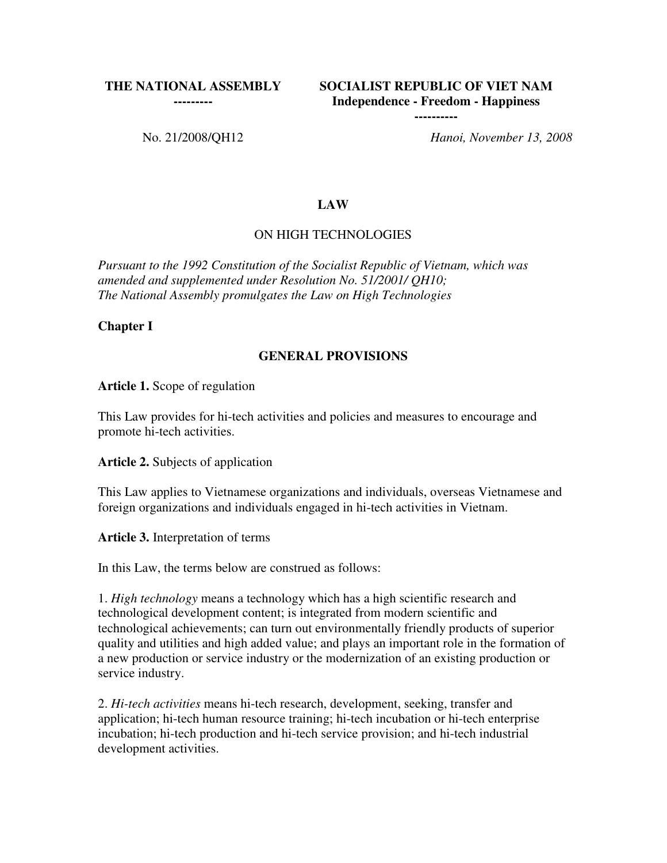#### **THE NATIONAL ASSEMBLY**

**---------**

**SOCIALIST REPUBLIC OF VIET NAM Independence - Freedom - Happiness** 

**----------**

No. 21/2008/QH12 *Hanoi, November 13, 2008*

#### **LAW**

#### ON HIGH TECHNOLOGIES

*Pursuant to the 1992 Constitution of the Socialist Republic of Vietnam, which was amended and supplemented under Resolution No. 51/2001/ QH10; The National Assembly promulgates the Law on High Technologies*

#### **Chapter I**

#### **GENERAL PROVISIONS**

**Article 1.** Scope of regulation

This Law provides for hi-tech activities and policies and measures to encourage and promote hi-tech activities.

**Article 2.** Subjects of application

This Law applies to Vietnamese organizations and individuals, overseas Vietnamese and foreign organizations and individuals engaged in hi-tech activities in Vietnam.

**Article 3.** Interpretation of terms

In this Law, the terms below are construed as follows:

1. *High technology* means a technology which has a high scientific research and technological development content; is integrated from modern scientific and technological achievements; can turn out environmentally friendly products of superior quality and utilities and high added value; and plays an important role in the formation of a new production or service industry or the modernization of an existing production or service industry.

2. *Hi-tech activities* means hi-tech research, development, seeking, transfer and application; hi-tech human resource training; hi-tech incubation or hi-tech enterprise incubation; hi-tech production and hi-tech service provision; and hi-tech industrial development activities.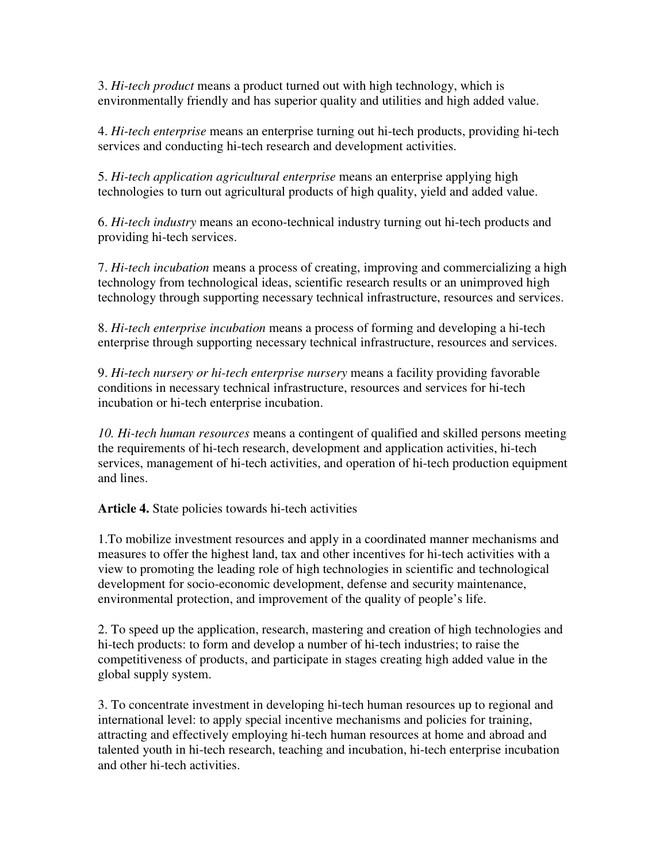3. *Hi-tech product* means a product turned out with high technology, which is environmentally friendly and has superior quality and utilities and high added value.

4. *Hi-tech enterprise* means an enterprise turning out hi-tech products, providing hi-tech services and conducting hi-tech research and development activities.

5. *Hi-tech application agricultural enterprise* means an enterprise applying high technologies to turn out agricultural products of high quality, yield and added value.

6. *Hi-tech industry* means an econo-technical industry turning out hi-tech products and providing hi-tech services.

7. *Hi-tech incubation* means a process of creating, improving and commercializing a high technology from technological ideas, scientific research results or an unimproved high technology through supporting necessary technical infrastructure, resources and services.

8. *Hi-tech enterprise incubation* means a process of forming and developing a hi-tech enterprise through supporting necessary technical infrastructure, resources and services.

9. *Hi-tech nursery or hi-tech enterprise nursery* means a facility providing favorable conditions in necessary technical infrastructure, resources and services for hi-tech incubation or hi-tech enterprise incubation.

*10. Hi-tech human resources* means a contingent of qualified and skilled persons meeting the requirements of hi-tech research, development and application activities, hi-tech services, management of hi-tech activities, and operation of hi-tech production equipment and lines.

**Article 4.** State policies towards hi-tech activities

1.To mobilize investment resources and apply in a coordinated manner mechanisms and measures to offer the highest land, tax and other incentives for hi-tech activities with a view to promoting the leading role of high technologies in scientific and technological development for socio-economic development, defense and security maintenance, environmental protection, and improvement of the quality of people's life.

2. To speed up the application, research, mastering and creation of high technologies and hi-tech products: to form and develop a number of hi-tech industries; to raise the competitiveness of products, and participate in stages creating high added value in the global supply system.

3. To concentrate investment in developing hi-tech human resources up to regional and international level: to apply special incentive mechanisms and policies for training, attracting and effectively employing hi-tech human resources at home and abroad and talented youth in hi-tech research, teaching and incubation, hi-tech enterprise incubation and other hi-tech activities.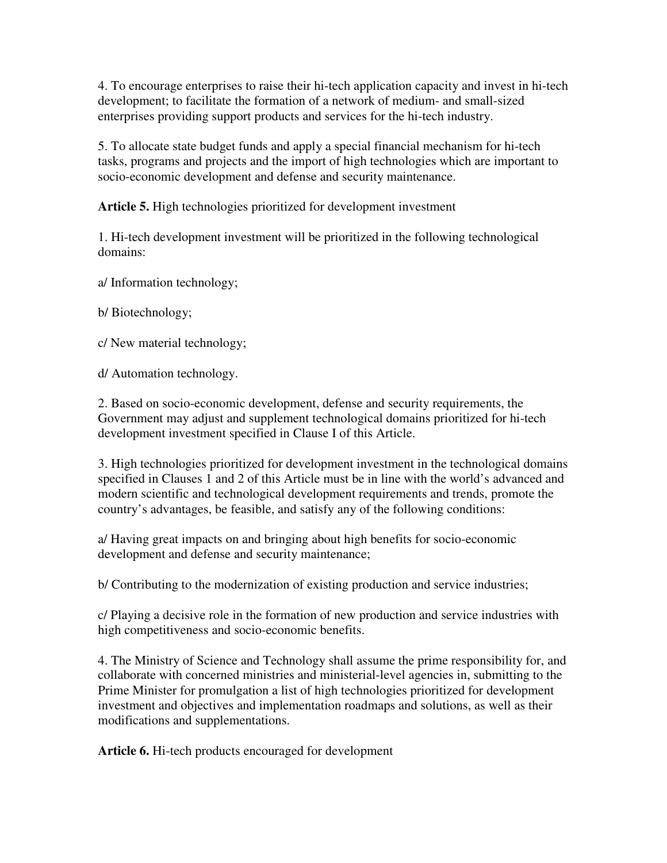4. To encourage enterprises to raise their hi-tech application capacity and invest in hi-tech development; to facilitate the formation of a network of medium- and small-sized enterprises providing support products and services for the hi-tech industry.

5. To allocate state budget funds and apply a special financial mechanism for hi-tech tasks, programs and projects and the import of high technologies which are important to socio-economic development and defense and security maintenance.

**Article 5.** High technologies prioritized for development investment

1. Hi-tech development investment will be prioritized in the following technological domains:

a/ Information technology;

b/ Biotechnology;

c/ New material technology;

d/ Automation technology.

2. Based on socio-economic development, defense and security requirements, the Government may adjust and supplement technological domains prioritized for hi-tech development investment specified in Clause I of this Article.

3. High technologies prioritized for development investment in the technological domains specified in Clauses 1 and 2 of this Article must be in line with the world's advanced and modern scientific and technological development requirements and trends, promote the country's advantages, be feasible, and satisfy any of the following conditions:

a/ Having great impacts on and bringing about high benefits for socio-economic development and defense and security maintenance;

b/ Contributing to the modernization of existing production and service industries;

c/ Playing a decisive role in the formation of new production and service industries with high competitiveness and socio-economic benefits.

4. The Ministry of Science and Technology shall assume the prime responsibility for, and collaborate with concerned ministries and ministerial-level agencies in, submitting to the Prime Minister for promulgation a list of high technologies prioritized for development investment and objectives and implementation roadmaps and solutions, as well as their modifications and supplementations.

**Article 6.** Hi-tech products encouraged for development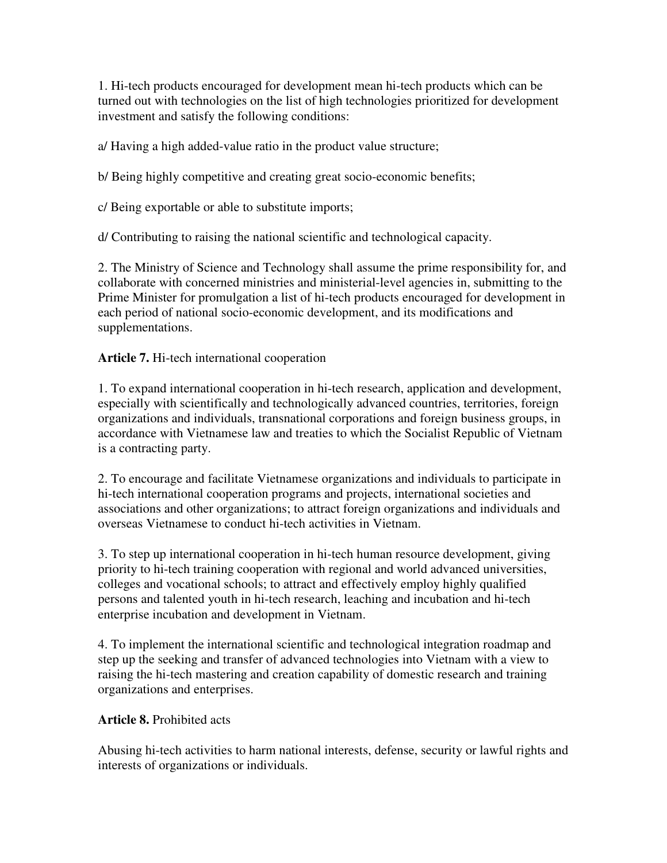1. Hi-tech products encouraged for development mean hi-tech products which can be turned out with technologies on the list of high technologies prioritized for development investment and satisfy the following conditions:

a/ Having a high added-value ratio in the product value structure;

b/ Being highly competitive and creating great socio-economic benefits;

c/ Being exportable or able to substitute imports;

d/ Contributing to raising the national scientific and technological capacity.

2. The Ministry of Science and Technology shall assume the prime responsibility for, and collaborate with concerned ministries and ministerial-level agencies in, submitting to the Prime Minister for promulgation a list of hi-tech products encouraged for development in each period of national socio-economic development, and its modifications and supplementations.

**Article 7.** Hi-tech international cooperation

1. To expand international cooperation in hi-tech research, application and development, especially with scientifically and technologically advanced countries, territories, foreign organizations and individuals, transnational corporations and foreign business groups, in accordance with Vietnamese law and treaties to which the Socialist Republic of Vietnam is a contracting party.

2. To encourage and facilitate Vietnamese organizations and individuals to participate in hi-tech international cooperation programs and projects, international societies and associations and other organizations; to attract foreign organizations and individuals and overseas Vietnamese to conduct hi-tech activities in Vietnam.

3. To step up international cooperation in hi-tech human resource development, giving priority to hi-tech training cooperation with regional and world advanced universities, colleges and vocational schools; to attract and effectively employ highly qualified persons and talented youth in hi-tech research, leaching and incubation and hi-tech enterprise incubation and development in Vietnam.

4. To implement the international scientific and technological integration roadmap and step up the seeking and transfer of advanced technologies into Vietnam with a view to raising the hi-tech mastering and creation capability of domestic research and training organizations and enterprises.

### **Article 8.** Prohibited acts

Abusing hi-tech activities to harm national interests, defense, security or lawful rights and interests of organizations or individuals.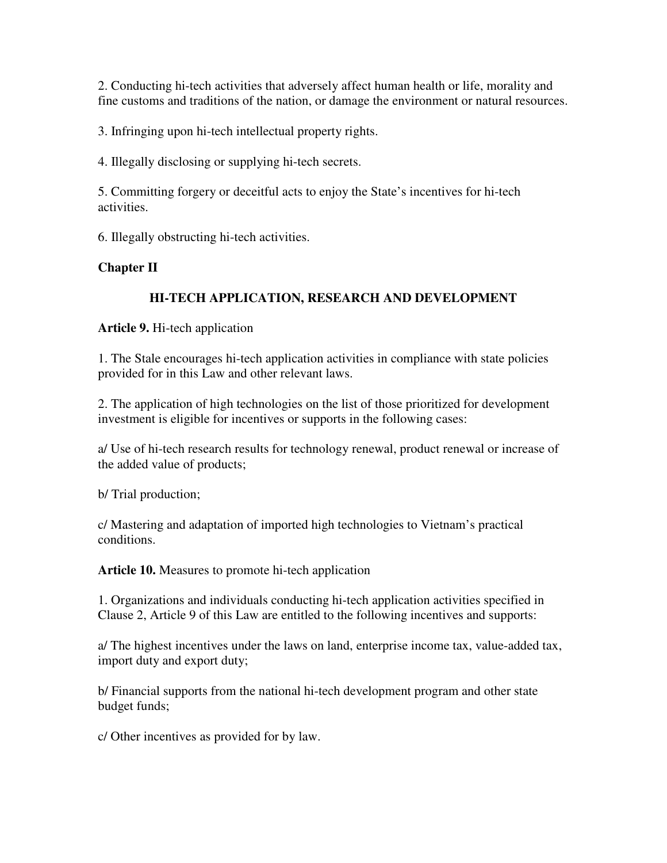2. Conducting hi-tech activities that adversely affect human health or life, morality and fine customs and traditions of the nation, or damage the environment or natural resources.

3. Infringing upon hi-tech intellectual property rights.

4. Illegally disclosing or supplying hi-tech secrets.

5. Committing forgery or deceitful acts to enjoy the State's incentives for hi-tech activities.

6. Illegally obstructing hi-tech activities.

## **Chapter II**

## **HI-TECH APPLICATION, RESEARCH AND DEVELOPMENT**

**Article 9.** Hi-tech application

1. The Stale encourages hi-tech application activities in compliance with state policies provided for in this Law and other relevant laws.

2. The application of high technologies on the list of those prioritized for development investment is eligible for incentives or supports in the following cases:

a/ Use of hi-tech research results for technology renewal, product renewal or increase of the added value of products;

b/ Trial production;

c/ Mastering and adaptation of imported high technologies to Vietnam's practical conditions.

**Article 10.** Measures to promote hi-tech application

1. Organizations and individuals conducting hi-tech application activities specified in Clause 2, Article 9 of this Law are entitled to the following incentives and supports:

a/ The highest incentives under the laws on land, enterprise income tax, value-added tax, import duty and export duty;

b/ Financial supports from the national hi-tech development program and other state budget funds;

c/ Other incentives as provided for by law.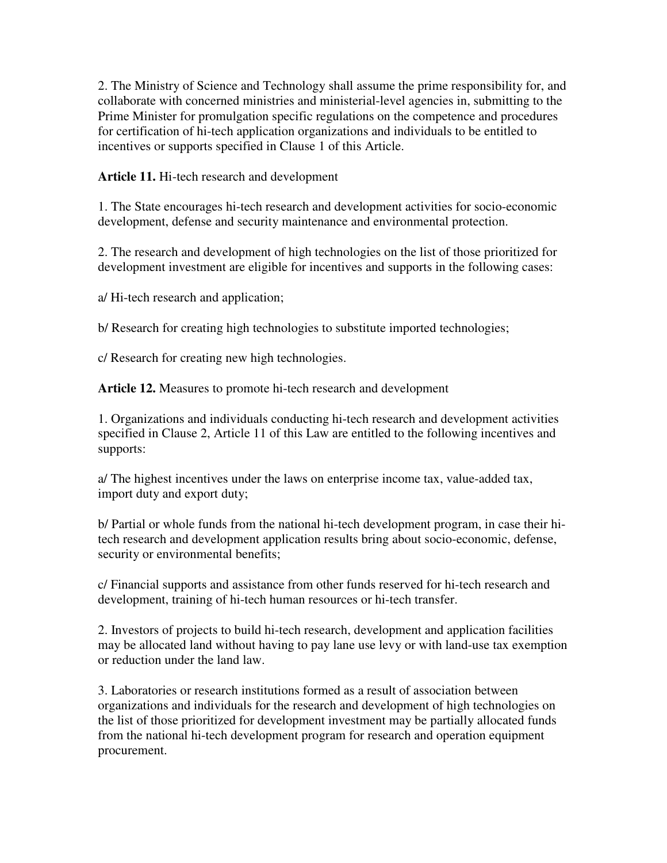2. The Ministry of Science and Technology shall assume the prime responsibility for, and collaborate with concerned ministries and ministerial-level agencies in, submitting to the Prime Minister for promulgation specific regulations on the competence and procedures for certification of hi-tech application organizations and individuals to be entitled to incentives or supports specified in Clause 1 of this Article.

**Article 11.** Hi-tech research and development

1. The State encourages hi-tech research and development activities for socio-economic development, defense and security maintenance and environmental protection.

2. The research and development of high technologies on the list of those prioritized for development investment are eligible for incentives and supports in the following cases:

a/ Hi-tech research and application;

b/ Research for creating high technologies to substitute imported technologies;

c/ Research for creating new high technologies.

**Article 12.** Measures to promote hi-tech research and development

1. Organizations and individuals conducting hi-tech research and development activities specified in Clause 2, Article 11 of this Law are entitled to the following incentives and supports:

a/ The highest incentives under the laws on enterprise income tax, value-added tax, import duty and export duty;

b/ Partial or whole funds from the national hi-tech development program, in case their hitech research and development application results bring about socio-economic, defense, security or environmental benefits;

c/ Financial supports and assistance from other funds reserved for hi-tech research and development, training of hi-tech human resources or hi-tech transfer.

2. Investors of projects to build hi-tech research, development and application facilities may be allocated land without having to pay lane use levy or with land-use tax exemption or reduction under the land law.

3. Laboratories or research institutions formed as a result of association between organizations and individuals for the research and development of high technologies on the list of those prioritized for development investment may be partially allocated funds from the national hi-tech development program for research and operation equipment procurement.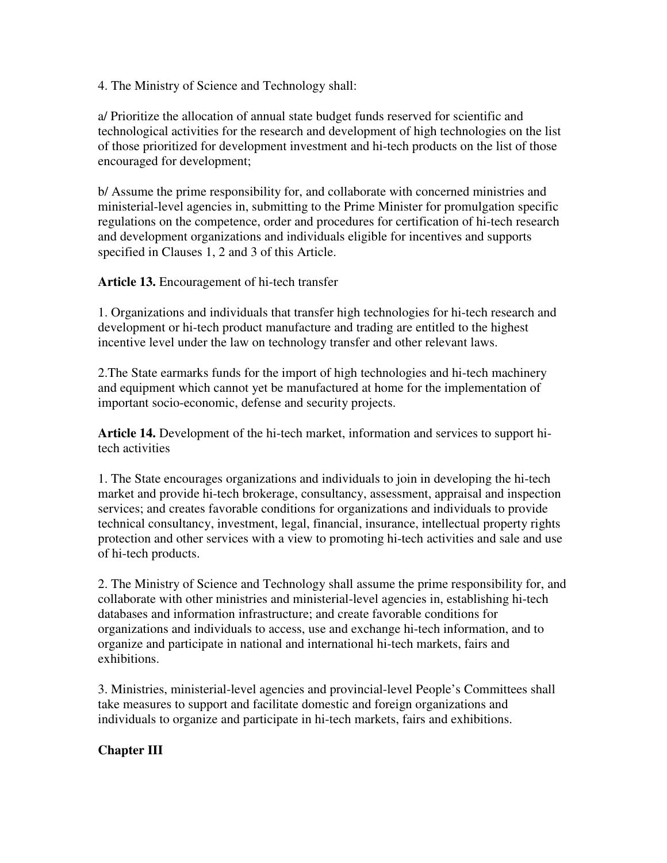4. The Ministry of Science and Technology shall:

a/ Prioritize the allocation of annual state budget funds reserved for scientific and technological activities for the research and development of high technologies on the list of those prioritized for development investment and hi-tech products on the list of those encouraged for development;

b/ Assume the prime responsibility for, and collaborate with concerned ministries and ministerial-level agencies in, submitting to the Prime Minister for promulgation specific regulations on the competence, order and procedures for certification of hi-tech research and development organizations and individuals eligible for incentives and supports specified in Clauses 1, 2 and 3 of this Article.

**Article 13.** Encouragement of hi-tech transfer

1. Organizations and individuals that transfer high technologies for hi-tech research and development or hi-tech product manufacture and trading are entitled to the highest incentive level under the law on technology transfer and other relevant laws.

2.The State earmarks funds for the import of high technologies and hi-tech machinery and equipment which cannot yet be manufactured at home for the implementation of important socio-economic, defense and security projects.

**Article 14.** Development of the hi-tech market, information and services to support hitech activities

1. The State encourages organizations and individuals to join in developing the hi-tech market and provide hi-tech brokerage, consultancy, assessment, appraisal and inspection services; and creates favorable conditions for organizations and individuals to provide technical consultancy, investment, legal, financial, insurance, intellectual property rights protection and other services with a view to promoting hi-tech activities and sale and use of hi-tech products.

2. The Ministry of Science and Technology shall assume the prime responsibility for, and collaborate with other ministries and ministerial-level agencies in, establishing hi-tech databases and information infrastructure; and create favorable conditions for organizations and individuals to access, use and exchange hi-tech information, and to organize and participate in national and international hi-tech markets, fairs and exhibitions.

3. Ministries, ministerial-level agencies and provincial-level People's Committees shall take measures to support and facilitate domestic and foreign organizations and individuals to organize and participate in hi-tech markets, fairs and exhibitions.

## **Chapter III**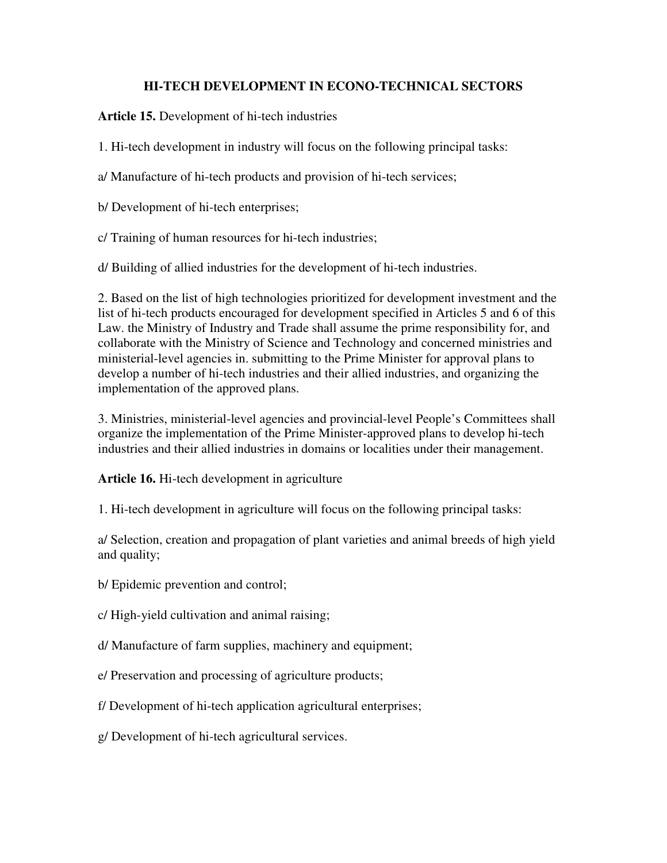### **HI-TECH DEVELOPMENT IN ECONO-TECHNICAL SECTORS**

**Article 15.** Development of hi-tech industries

1. Hi-tech development in industry will focus on the following principal tasks:

a/ Manufacture of hi-tech products and provision of hi-tech services;

b/ Development of hi-tech enterprises;

c/ Training of human resources for hi-tech industries;

d/ Building of allied industries for the development of hi-tech industries.

2. Based on the list of high technologies prioritized for development investment and the list of hi-tech products encouraged for development specified in Articles 5 and 6 of this Law. the Ministry of Industry and Trade shall assume the prime responsibility for, and collaborate with the Ministry of Science and Technology and concerned ministries and ministerial-level agencies in. submitting to the Prime Minister for approval plans to develop a number of hi-tech industries and their allied industries, and organizing the implementation of the approved plans.

3. Ministries, ministerial-level agencies and provincial-level People's Committees shall organize the implementation of the Prime Minister-approved plans to develop hi-tech industries and their allied industries in domains or localities under their management.

**Article 16.** Hi-tech development in agriculture

1. Hi-tech development in agriculture will focus on the following principal tasks:

a/ Selection, creation and propagation of plant varieties and animal breeds of high yield and quality;

b/ Epidemic prevention and control;

c/ High-yield cultivation and animal raising;

d/ Manufacture of farm supplies, machinery and equipment;

e/ Preservation and processing of agriculture products;

f/ Development of hi-tech application agricultural enterprises;

g/ Development of hi-tech agricultural services.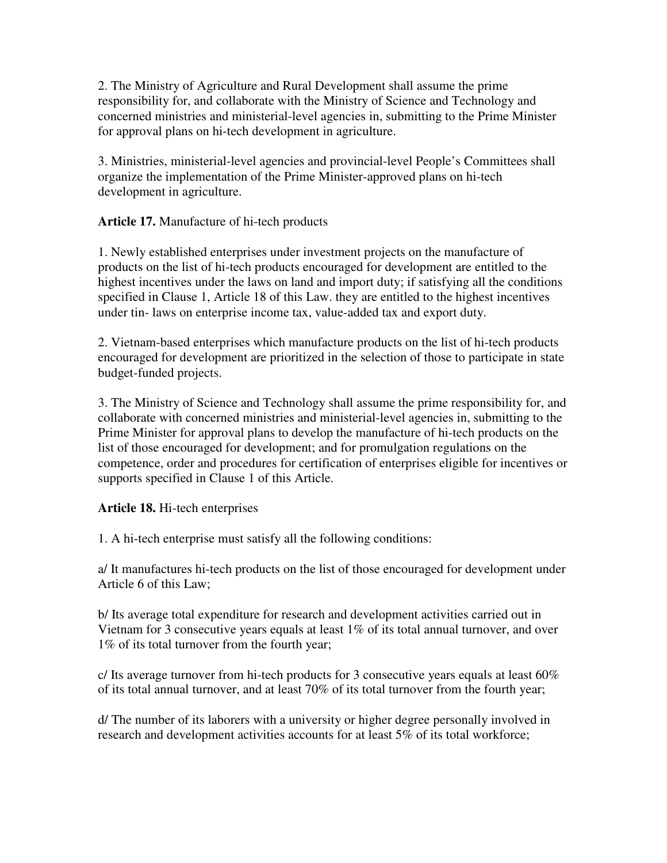2. The Ministry of Agriculture and Rural Development shall assume the prime responsibility for, and collaborate with the Ministry of Science and Technology and concerned ministries and ministerial-level agencies in, submitting to the Prime Minister for approval plans on hi-tech development in agriculture.

3. Ministries, ministerial-level agencies and provincial-level People's Committees shall organize the implementation of the Prime Minister-approved plans on hi-tech development in agriculture.

**Article 17.** Manufacture of hi-tech products

1. Newly established enterprises under investment projects on the manufacture of products on the list of hi-tech products encouraged for development are entitled to the highest incentives under the laws on land and import duty; if satisfying all the conditions specified in Clause 1, Article 18 of this Law. they are entitled to the highest incentives under tin- laws on enterprise income tax, value-added tax and export duty.

2. Vietnam-based enterprises which manufacture products on the list of hi-tech products encouraged for development are prioritized in the selection of those to participate in state budget-funded projects.

3. The Ministry of Science and Technology shall assume the prime responsibility for, and collaborate with concerned ministries and ministerial-level agencies in, submitting to the Prime Minister for approval plans to develop the manufacture of hi-tech products on the list of those encouraged for development; and for promulgation regulations on the competence, order and procedures for certification of enterprises eligible for incentives or supports specified in Clause 1 of this Article.

## **Article 18.** Hi-tech enterprises

1. A hi-tech enterprise must satisfy all the following conditions:

a/ It manufactures hi-tech products on the list of those encouraged for development under Article 6 of this Law;

b/ Its average total expenditure for research and development activities carried out in Vietnam for 3 consecutive years equals at least 1% of its total annual turnover, and over 1% of its total turnover from the fourth year;

c/ Its average turnover from hi-tech products for 3 consecutive years equals at least  $60\%$ of its total annual turnover, and at least 70% of its total turnover from the fourth year;

d/ The number of its laborers with a university or higher degree personally involved in research and development activities accounts for at least 5% of its total workforce;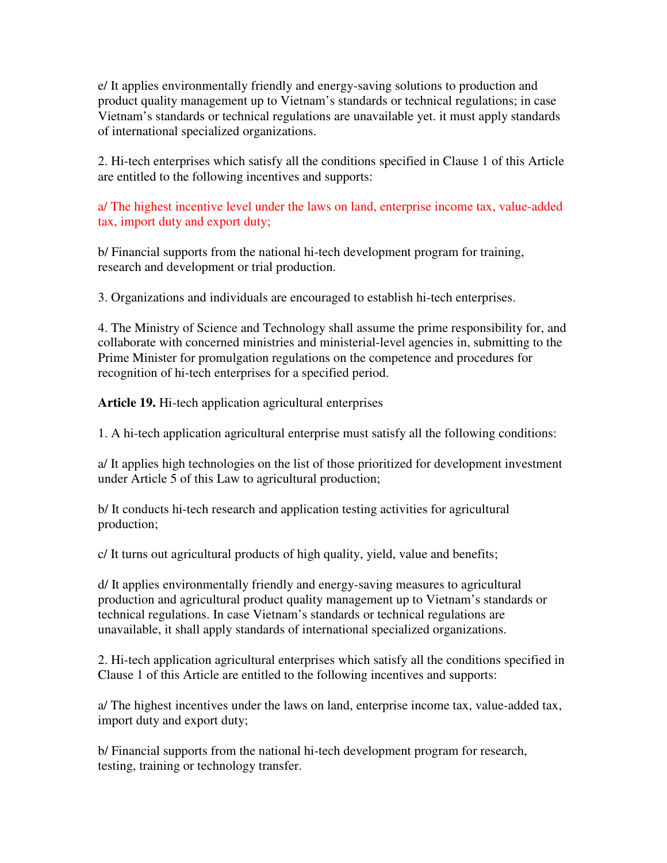e/ It applies environmentally friendly and energy-saving solutions to production and product quality management up to Vietnam's standards or technical regulations; in case Vietnam's standards or technical regulations are unavailable yet. it must apply standards of international specialized organizations.

2. Hi-tech enterprises which satisfy all the conditions specified in Clause 1 of this Article are entitled to the following incentives and supports:

a/ The highest incentive level under the laws on land, enterprise income tax, value-added tax, import duty and export duty;

b/ Financial supports from the national hi-tech development program for training, research and development or trial production.

3. Organizations and individuals are encouraged to establish hi-tech enterprises.

4. The Ministry of Science and Technology shall assume the prime responsibility for, and collaborate with concerned ministries and ministerial-level agencies in, submitting to the Prime Minister for promulgation regulations on the competence and procedures for recognition of hi-tech enterprises for a specified period.

**Article 19.** Hi-tech application agricultural enterprises

1. A hi-tech application agricultural enterprise must satisfy all the following conditions:

a/ It applies high technologies on the list of those prioritized for development investment under Article 5 of this Law to agricultural production;

b/ It conducts hi-tech research and application testing activities for agricultural production;

c/ It turns out agricultural products of high quality, yield, value and benefits;

d/ It applies environmentally friendly and energy-saving measures to agricultural production and agricultural product quality management up to Vietnam's standards or technical regulations. In case Vietnam's standards or technical regulations are unavailable, it shall apply standards of international specialized organizations.

2. Hi-tech application agricultural enterprises which satisfy all the conditions specified in Clause 1 of this Article are entitled to the following incentives and supports:

a/ The highest incentives under the laws on land, enterprise income tax, value-added tax, import duty and export duty;

b/ Financial supports from the national hi-tech development program for research, testing, training or technology transfer.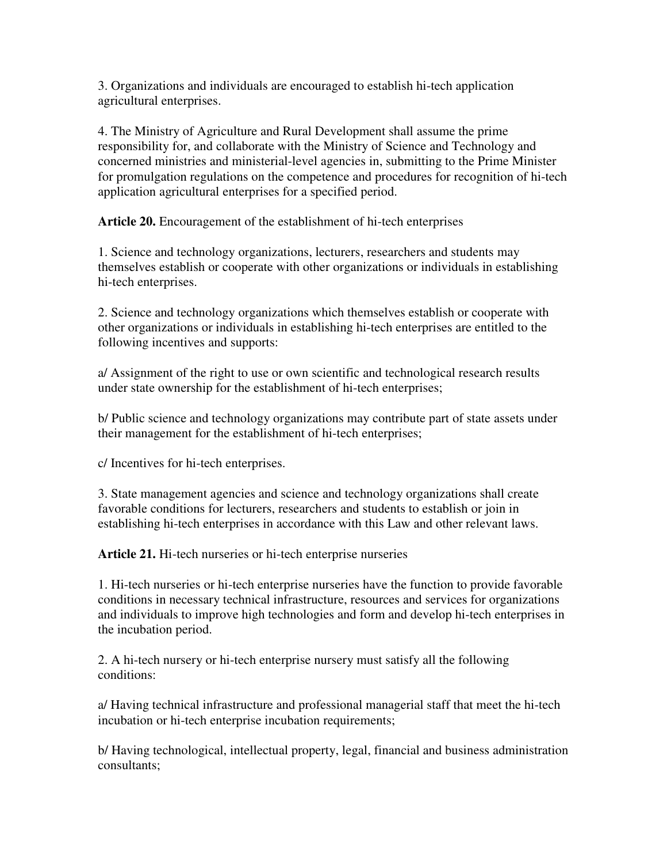3. Organizations and individuals are encouraged to establish hi-tech application agricultural enterprises.

4. The Ministry of Agriculture and Rural Development shall assume the prime responsibility for, and collaborate with the Ministry of Science and Technology and concerned ministries and ministerial-level agencies in, submitting to the Prime Minister for promulgation regulations on the competence and procedures for recognition of hi-tech application agricultural enterprises for a specified period.

**Article 20.** Encouragement of the establishment of hi-tech enterprises

1. Science and technology organizations, lecturers, researchers and students may themselves establish or cooperate with other organizations or individuals in establishing hi-tech enterprises.

2. Science and technology organizations which themselves establish or cooperate with other organizations or individuals in establishing hi-tech enterprises are entitled to the following incentives and supports:

a/ Assignment of the right to use or own scientific and technological research results under state ownership for the establishment of hi-tech enterprises;

b/ Public science and technology organizations may contribute part of state assets under their management for the establishment of hi-tech enterprises;

c/ Incentives for hi-tech enterprises.

3. State management agencies and science and technology organizations shall create favorable conditions for lecturers, researchers and students to establish or join in establishing hi-tech enterprises in accordance with this Law and other relevant laws.

**Article 21.** Hi-tech nurseries or hi-tech enterprise nurseries

1. Hi-tech nurseries or hi-tech enterprise nurseries have the function to provide favorable conditions in necessary technical infrastructure, resources and services for organizations and individuals to improve high technologies and form and develop hi-tech enterprises in the incubation period.

2. A hi-tech nursery or hi-tech enterprise nursery must satisfy all the following conditions:

a/ Having technical infrastructure and professional managerial staff that meet the hi-tech incubation or hi-tech enterprise incubation requirements;

b/ Having technological, intellectual property, legal, financial and business administration consultants;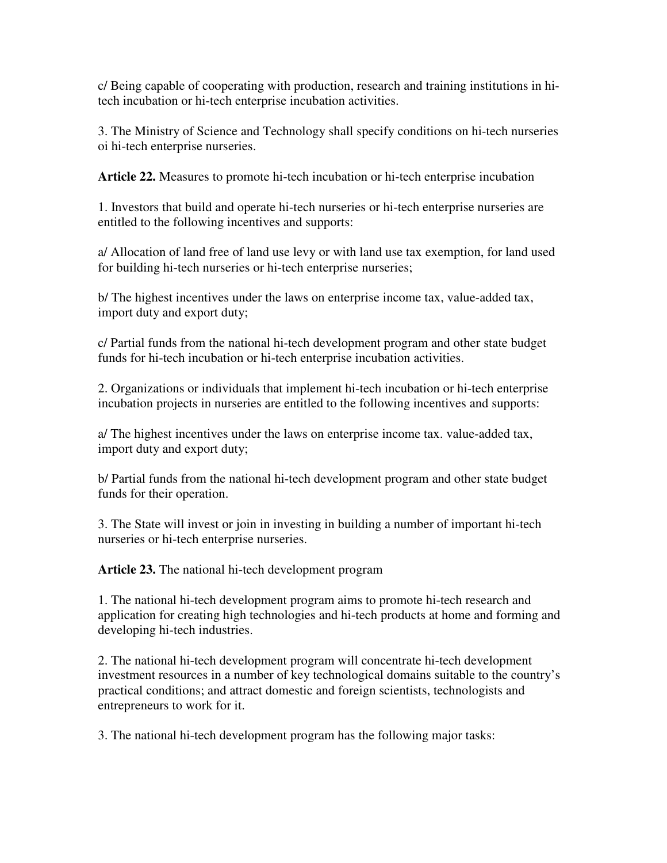c/ Being capable of cooperating with production, research and training institutions in hitech incubation or hi-tech enterprise incubation activities.

3. The Ministry of Science and Technology shall specify conditions on hi-tech nurseries oi hi-tech enterprise nurseries.

**Article 22.** Measures to promote hi-tech incubation or hi-tech enterprise incubation

1. Investors that build and operate hi-tech nurseries or hi-tech enterprise nurseries are entitled to the following incentives and supports:

a/ Allocation of land free of land use levy or with land use tax exemption, for land used for building hi-tech nurseries or hi-tech enterprise nurseries;

b/ The highest incentives under the laws on enterprise income tax, value-added tax, import duty and export duty;

c/ Partial funds from the national hi-tech development program and other state budget funds for hi-tech incubation or hi-tech enterprise incubation activities.

2. Organizations or individuals that implement hi-tech incubation or hi-tech enterprise incubation projects in nurseries are entitled to the following incentives and supports:

a/ The highest incentives under the laws on enterprise income tax. value-added tax, import duty and export duty;

b/ Partial funds from the national hi-tech development program and other state budget funds for their operation.

3. The State will invest or join in investing in building a number of important hi-tech nurseries or hi-tech enterprise nurseries.

**Article 23.** The national hi-tech development program

1. The national hi-tech development program aims to promote hi-tech research and application for creating high technologies and hi-tech products at home and forming and developing hi-tech industries.

2. The national hi-tech development program will concentrate hi-tech development investment resources in a number of key technological domains suitable to the country's practical conditions; and attract domestic and foreign scientists, technologists and entrepreneurs to work for it.

3. The national hi-tech development program has the following major tasks: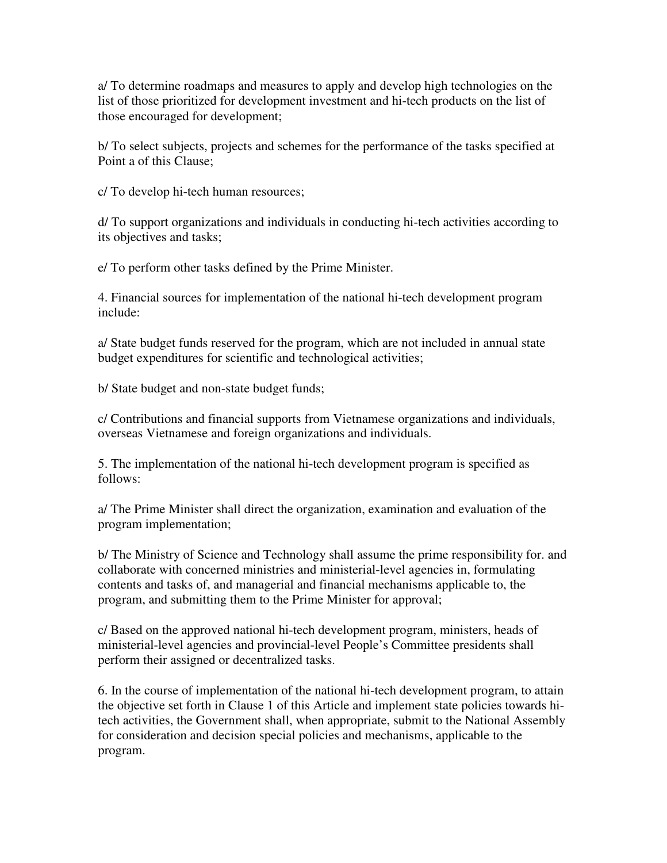a/ To determine roadmaps and measures to apply and develop high technologies on the list of those prioritized for development investment and hi-tech products on the list of those encouraged for development;

b/ To select subjects, projects and schemes for the performance of the tasks specified at Point a of this Clause;

c/ To develop hi-tech human resources;

d/ To support organizations and individuals in conducting hi-tech activities according to its objectives and tasks;

e/ To perform other tasks defined by the Prime Minister.

4. Financial sources for implementation of the national hi-tech development program include:

a/ State budget funds reserved for the program, which are not included in annual state budget expenditures for scientific and technological activities;

b/ State budget and non-state budget funds;

c/ Contributions and financial supports from Vietnamese organizations and individuals, overseas Vietnamese and foreign organizations and individuals.

5. The implementation of the national hi-tech development program is specified as follows:

a/ The Prime Minister shall direct the organization, examination and evaluation of the program implementation;

b/ The Ministry of Science and Technology shall assume the prime responsibility for. and collaborate with concerned ministries and ministerial-level agencies in, formulating contents and tasks of, and managerial and financial mechanisms applicable to, the program, and submitting them to the Prime Minister for approval;

c/ Based on the approved national hi-tech development program, ministers, heads of ministerial-level agencies and provincial-level People's Committee presidents shall perform their assigned or decentralized tasks.

6. In the course of implementation of the national hi-tech development program, to attain the objective set forth in Clause 1 of this Article and implement state policies towards hitech activities, the Government shall, when appropriate, submit to the National Assembly for consideration and decision special policies and mechanisms, applicable to the program.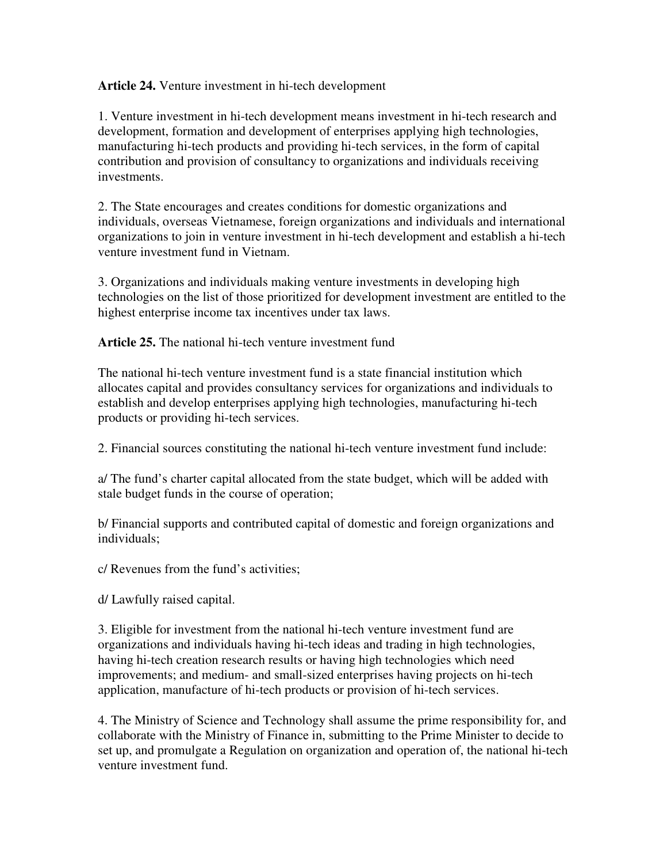### **Article 24.** Venture investment in hi-tech development

1. Venture investment in hi-tech development means investment in hi-tech research and development, formation and development of enterprises applying high technologies, manufacturing hi-tech products and providing hi-tech services, in the form of capital contribution and provision of consultancy to organizations and individuals receiving investments.

2. The State encourages and creates conditions for domestic organizations and individuals, overseas Vietnamese, foreign organizations and individuals and international organizations to join in venture investment in hi-tech development and establish a hi-tech venture investment fund in Vietnam.

3. Organizations and individuals making venture investments in developing high technologies on the list of those prioritized for development investment are entitled to the highest enterprise income tax incentives under tax laws.

**Article 25.** The national hi-tech venture investment fund

The national hi-tech venture investment fund is a state financial institution which allocates capital and provides consultancy services for organizations and individuals to establish and develop enterprises applying high technologies, manufacturing hi-tech products or providing hi-tech services.

2. Financial sources constituting the national hi-tech venture investment fund include:

a/ The fund's charter capital allocated from the state budget, which will be added with stale budget funds in the course of operation;

b/ Financial supports and contributed capital of domestic and foreign organizations and individuals;

c/ Revenues from the fund's activities;

d/ Lawfully raised capital.

3. Eligible for investment from the national hi-tech venture investment fund are organizations and individuals having hi-tech ideas and trading in high technologies, having hi-tech creation research results or having high technologies which need improvements; and medium- and small-sized enterprises having projects on hi-tech application, manufacture of hi-tech products or provision of hi-tech services.

4. The Ministry of Science and Technology shall assume the prime responsibility for, and collaborate with the Ministry of Finance in, submitting to the Prime Minister to decide to set up, and promulgate a Regulation on organization and operation of, the national hi-tech venture investment fund.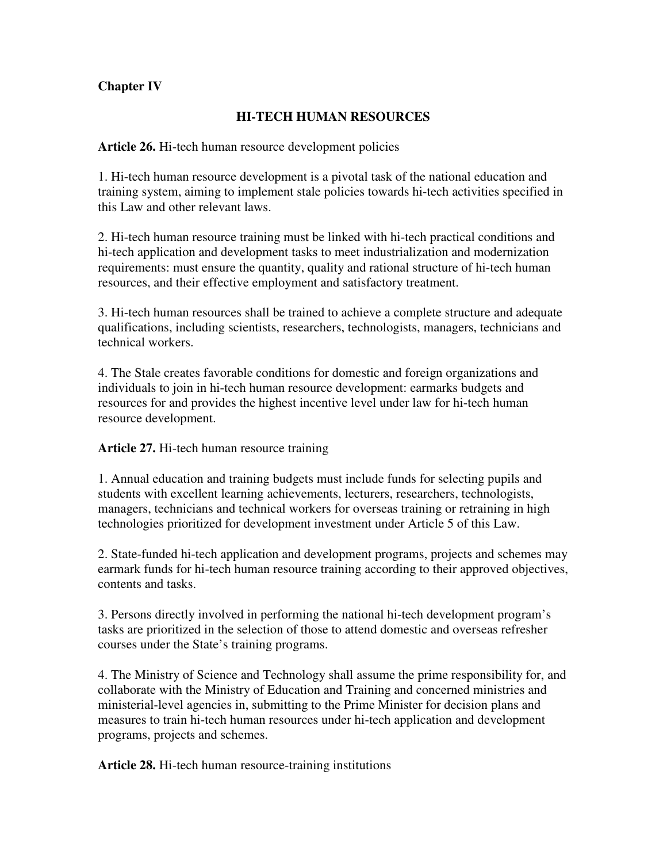## **Chapter IV**

### **HI-TECH HUMAN RESOURCES**

### **Article 26.** Hi-tech human resource development policies

1. Hi-tech human resource development is a pivotal task of the national education and training system, aiming to implement stale policies towards hi-tech activities specified in this Law and other relevant laws.

2. Hi-tech human resource training must be linked with hi-tech practical conditions and hi-tech application and development tasks to meet industrialization and modernization requirements: must ensure the quantity, quality and rational structure of hi-tech human resources, and their effective employment and satisfactory treatment.

3. Hi-tech human resources shall be trained to achieve a complete structure and adequate qualifications, including scientists, researchers, technologists, managers, technicians and technical workers.

4. The Stale creates favorable conditions for domestic and foreign organizations and individuals to join in hi-tech human resource development: earmarks budgets and resources for and provides the highest incentive level under law for hi-tech human resource development.

### **Article 27.** Hi-tech human resource training

1. Annual education and training budgets must include funds for selecting pupils and students with excellent learning achievements, lecturers, researchers, technologists, managers, technicians and technical workers for overseas training or retraining in high technologies prioritized for development investment under Article 5 of this Law.

2. State-funded hi-tech application and development programs, projects and schemes may earmark funds for hi-tech human resource training according to their approved objectives, contents and tasks.

3. Persons directly involved in performing the national hi-tech development program's tasks are prioritized in the selection of those to attend domestic and overseas refresher courses under the State's training programs.

4. The Ministry of Science and Technology shall assume the prime responsibility for, and collaborate with the Ministry of Education and Training and concerned ministries and ministerial-level agencies in, submitting to the Prime Minister for decision plans and measures to train hi-tech human resources under hi-tech application and development programs, projects and schemes.

**Article 28.** Hi-tech human resource-training institutions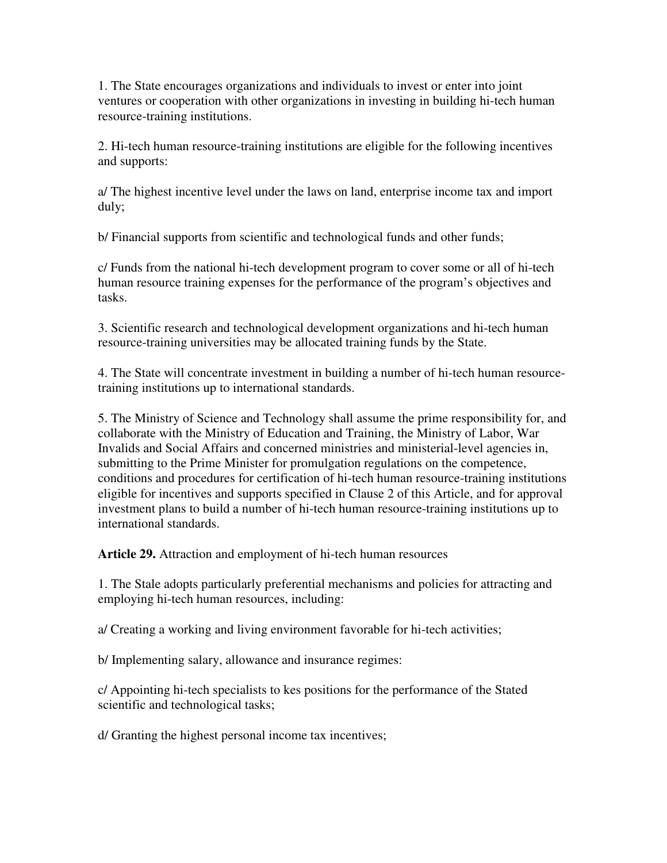1. The State encourages organizations and individuals to invest or enter into joint ventures or cooperation with other organizations in investing in building hi-tech human resource-training institutions.

2. Hi-tech human resource-training institutions are eligible for the following incentives and supports:

a/ The highest incentive level under the laws on land, enterprise income tax and import duly;

b/ Financial supports from scientific and technological funds and other funds;

c/ Funds from the national hi-tech development program to cover some or all of hi-tech human resource training expenses for the performance of the program's objectives and tasks.

3. Scientific research and technological development organizations and hi-tech human resource-training universities may be allocated training funds by the State.

4. The State will concentrate investment in building a number of hi-tech human resourcetraining institutions up to international standards.

5. The Ministry of Science and Technology shall assume the prime responsibility for, and collaborate with the Ministry of Education and Training, the Ministry of Labor, War Invalids and Social Affairs and concerned ministries and ministerial-level agencies in, submitting to the Prime Minister for promulgation regulations on the competence, conditions and procedures for certification of hi-tech human resource-training institutions eligible for incentives and supports specified in Clause 2 of this Article, and for approval investment plans to build a number of hi-tech human resource-training institutions up to international standards.

**Article 29.** Attraction and employment of hi-tech human resources

1. The Stale adopts particularly preferential mechanisms and policies for attracting and employing hi-tech human resources, including:

a/ Creating a working and living environment favorable for hi-tech activities;

b/ Implementing salary, allowance and insurance regimes:

c/ Appointing hi-tech specialists to kes positions for the performance of the Stated scientific and technological tasks;

d/ Granting the highest personal income tax incentives;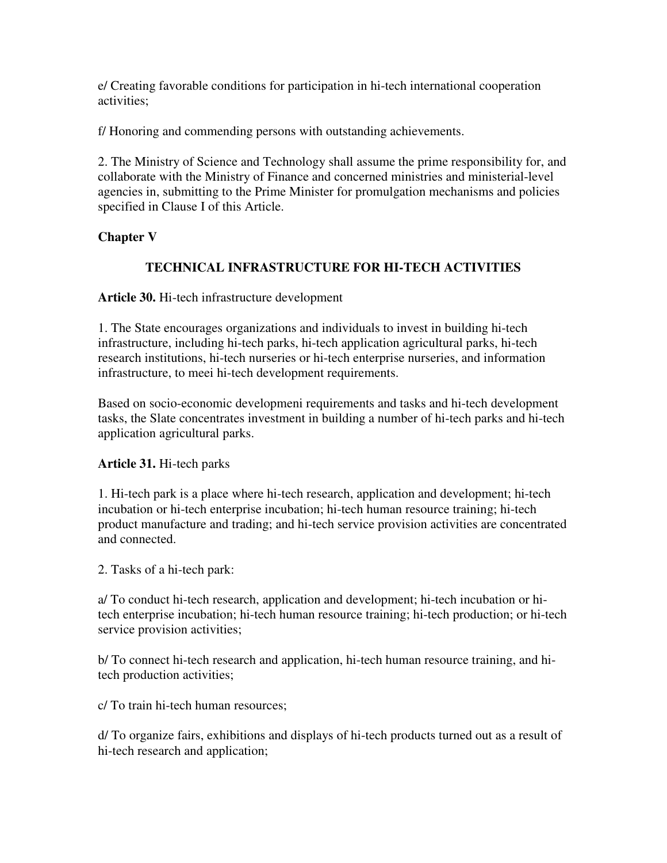e/ Creating favorable conditions for participation in hi-tech international cooperation activities;

f/ Honoring and commending persons with outstanding achievements.

2. The Ministry of Science and Technology shall assume the prime responsibility for, and collaborate with the Ministry of Finance and concerned ministries and ministerial-level agencies in, submitting to the Prime Minister for promulgation mechanisms and policies specified in Clause I of this Article.

## **Chapter V**

# **TECHNICAL INFRASTRUCTURE FOR HI-TECH ACTIVITIES**

**Article 30.** Hi-tech infrastructure development

1. The State encourages organizations and individuals to invest in building hi-tech infrastructure, including hi-tech parks, hi-tech application agricultural parks, hi-tech research institutions, hi-tech nurseries or hi-tech enterprise nurseries, and information infrastructure, to meei hi-tech development requirements.

Based on socio-economic developmeni requirements and tasks and hi-tech development tasks, the Slate concentrates investment in building a number of hi-tech parks and hi-tech application agricultural parks.

## **Article 31.** Hi-tech parks

1. Hi-tech park is a place where hi-tech research, application and development; hi-tech incubation or hi-tech enterprise incubation; hi-tech human resource training; hi-tech product manufacture and trading; and hi-tech service provision activities are concentrated and connected.

2. Tasks of a hi-tech park:

a/ To conduct hi-tech research, application and development; hi-tech incubation or hitech enterprise incubation; hi-tech human resource training; hi-tech production; or hi-tech service provision activities;

b/ To connect hi-tech research and application, hi-tech human resource training, and hitech production activities;

c/ To train hi-tech human resources;

d/ To organize fairs, exhibitions and displays of hi-tech products turned out as a result of hi-tech research and application;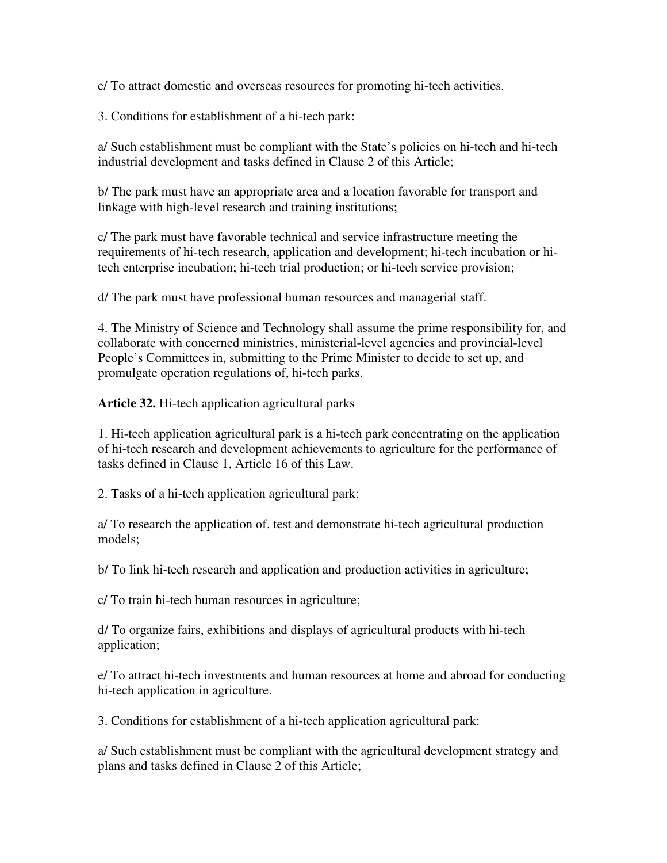e/ To attract domestic and overseas resources for promoting hi-tech activities.

3. Conditions for establishment of a hi-tech park:

a/ Such establishment must be compliant with the State's policies on hi-tech and hi-tech industrial development and tasks defined in Clause 2 of this Article;

b/ The park must have an appropriate area and a location favorable for transport and linkage with high-level research and training institutions;

c/ The park must have favorable technical and service infrastructure meeting the requirements of hi-tech research, application and development; hi-tech incubation or hitech enterprise incubation; hi-tech trial production; or hi-tech service provision;

d/ The park must have professional human resources and managerial staff.

4. The Ministry of Science and Technology shall assume the prime responsibility for, and collaborate with concerned ministries, ministerial-level agencies and provincial-level People's Committees in, submitting to the Prime Minister to decide to set up, and promulgate operation regulations of, hi-tech parks.

**Article 32.** Hi-tech application agricultural parks

1. Hi-tech application agricultural park is a hi-tech park concentrating on the application of hi-tech research and development achievements to agriculture for the performance of tasks defined in Clause 1, Article 16 of this Law.

2. Tasks of a hi-tech application agricultural park:

a/ To research the application of. test and demonstrate hi-tech agricultural production models;

b/ To link hi-tech research and application and production activities in agriculture;

c/ To train hi-tech human resources in agriculture;

d/ To organize fairs, exhibitions and displays of agricultural products with hi-tech application;

e/ To attract hi-tech investments and human resources at home and abroad for conducting hi-tech application in agriculture.

3. Conditions for establishment of a hi-tech application agricultural park:

a/ Such establishment must be compliant with the agricultural development strategy and plans and tasks defined in Clause 2 of this Article;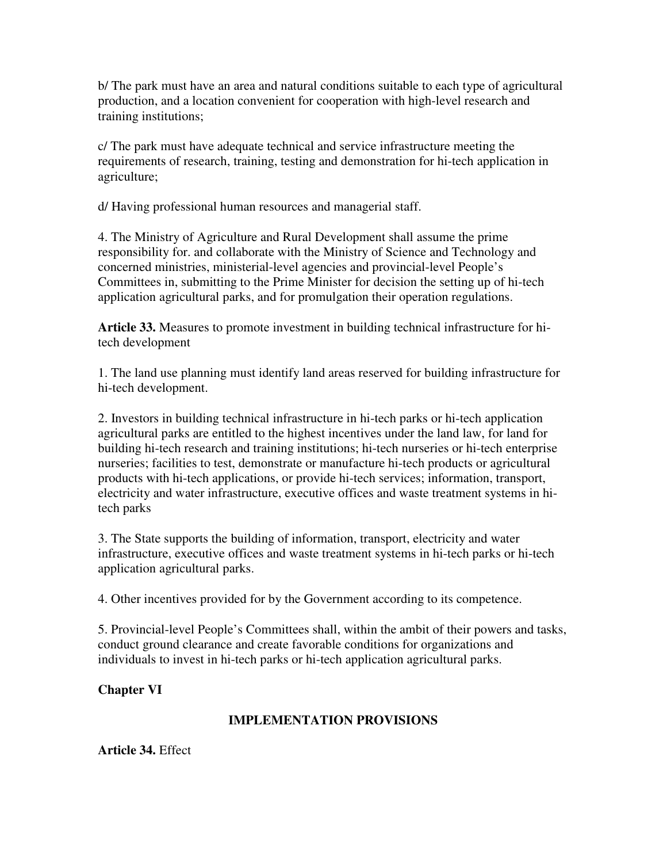b/ The park must have an area and natural conditions suitable to each type of agricultural production, and a location convenient for cooperation with high-level research and training institutions;

c/ The park must have adequate technical and service infrastructure meeting the requirements of research, training, testing and demonstration for hi-tech application in agriculture;

d/ Having professional human resources and managerial staff.

4. The Ministry of Agriculture and Rural Development shall assume the prime responsibility for. and collaborate with the Ministry of Science and Technology and concerned ministries, ministerial-level agencies and provincial-level People's Committees in, submitting to the Prime Minister for decision the setting up of hi-tech application agricultural parks, and for promulgation their operation regulations.

**Article 33.** Measures to promote investment in building technical infrastructure for hitech development

1. The land use planning must identify land areas reserved for building infrastructure for hi-tech development.

2. Investors in building technical infrastructure in hi-tech parks or hi-tech application agricultural parks are entitled to the highest incentives under the land law, for land for building hi-tech research and training institutions; hi-tech nurseries or hi-tech enterprise nurseries; facilities to test, demonstrate or manufacture hi-tech products or agricultural products with hi-tech applications, or provide hi-tech services; information, transport, electricity and water infrastructure, executive offices and waste treatment systems in hitech parks

3. The State supports the building of information, transport, electricity and water infrastructure, executive offices and waste treatment systems in hi-tech parks or hi-tech application agricultural parks.

4. Other incentives provided for by the Government according to its competence.

5. Provincial-level People's Committees shall, within the ambit of their powers and tasks, conduct ground clearance and create favorable conditions for organizations and individuals to invest in hi-tech parks or hi-tech application agricultural parks.

**Chapter VI**

# **IMPLEMENTATION PROVISIONS**

**Article 34.** Effect